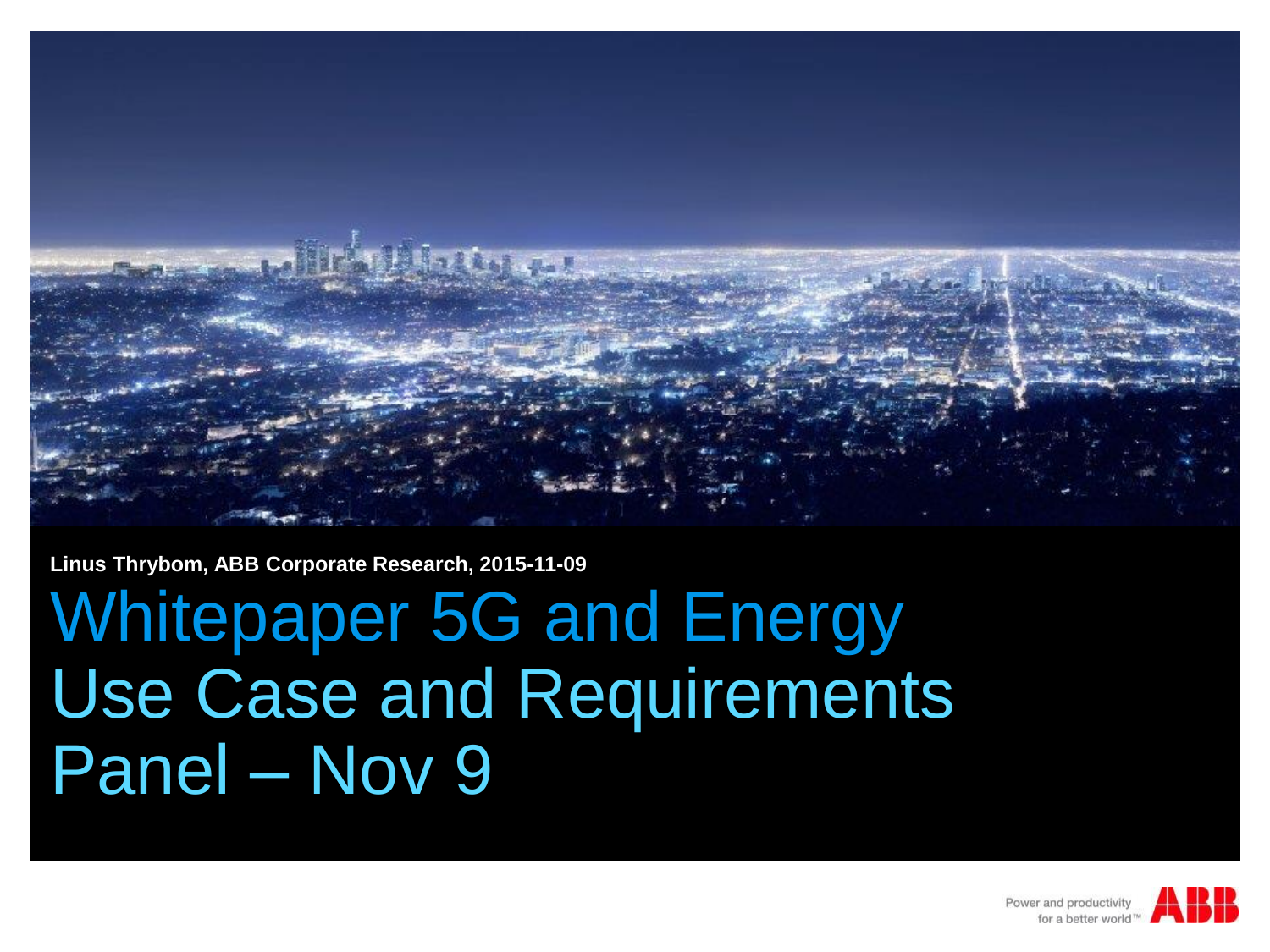

**Linus Thrybom, ABB Corporate Research, 2015-11-09**

# Whitepaper 5G and Energy Use Case and Requirements Panel – Nov 9

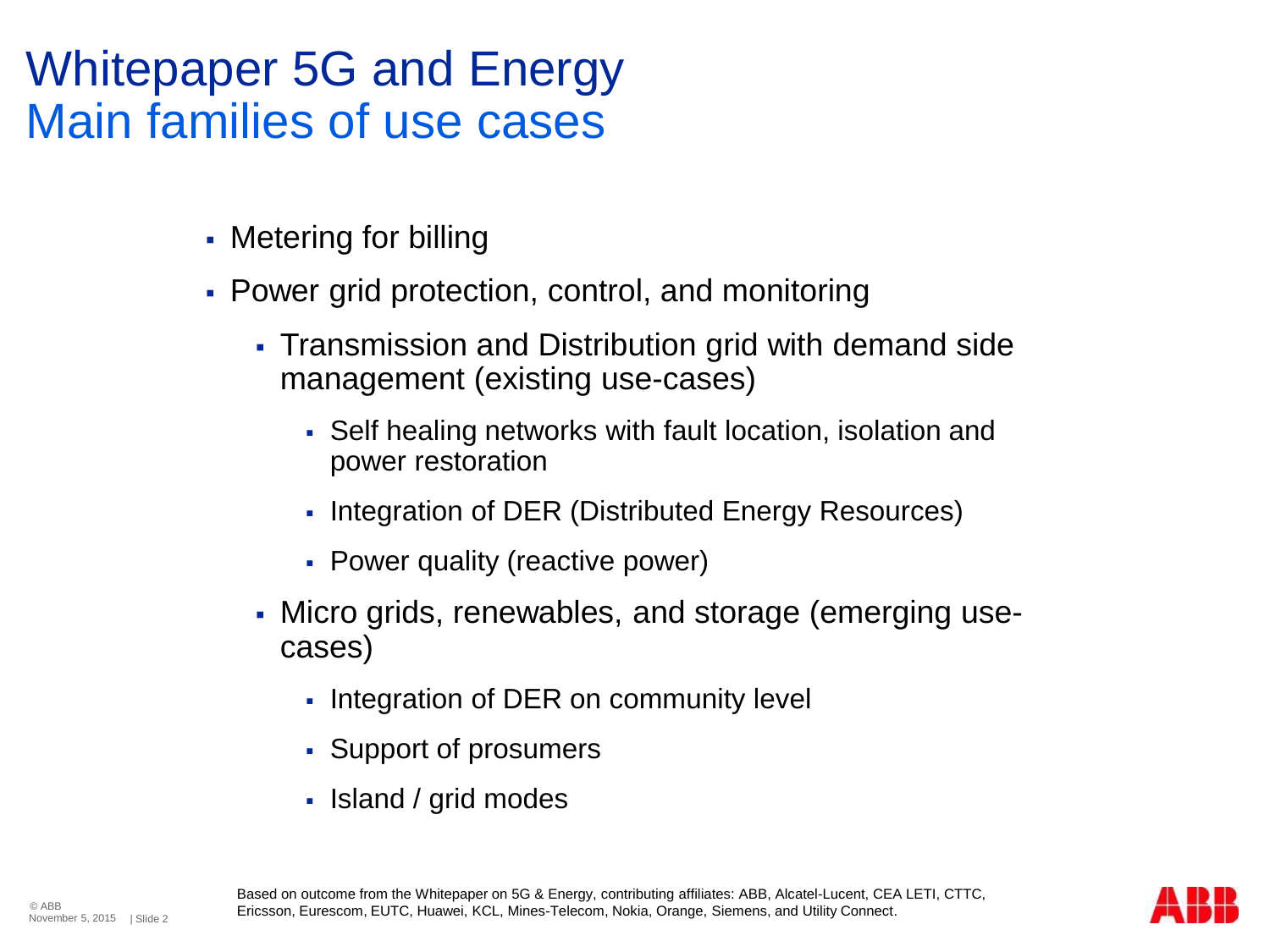#### Whitepaper 5G and Energy Main families of use cases

- Metering for billing
- Power grid protection, control, and monitoring
	- Transmission and Distribution grid with demand side management (existing use-cases)
		- Self healing networks with fault location, isolation and power restoration
		- Integration of DER (Distributed Energy Resources)
		- Power quality (reactive power)
	- Micro grids, renewables, and storage (emerging usecases)
		- Integration of DER on community level
		- Support of prosumers
		- Island / grid modes

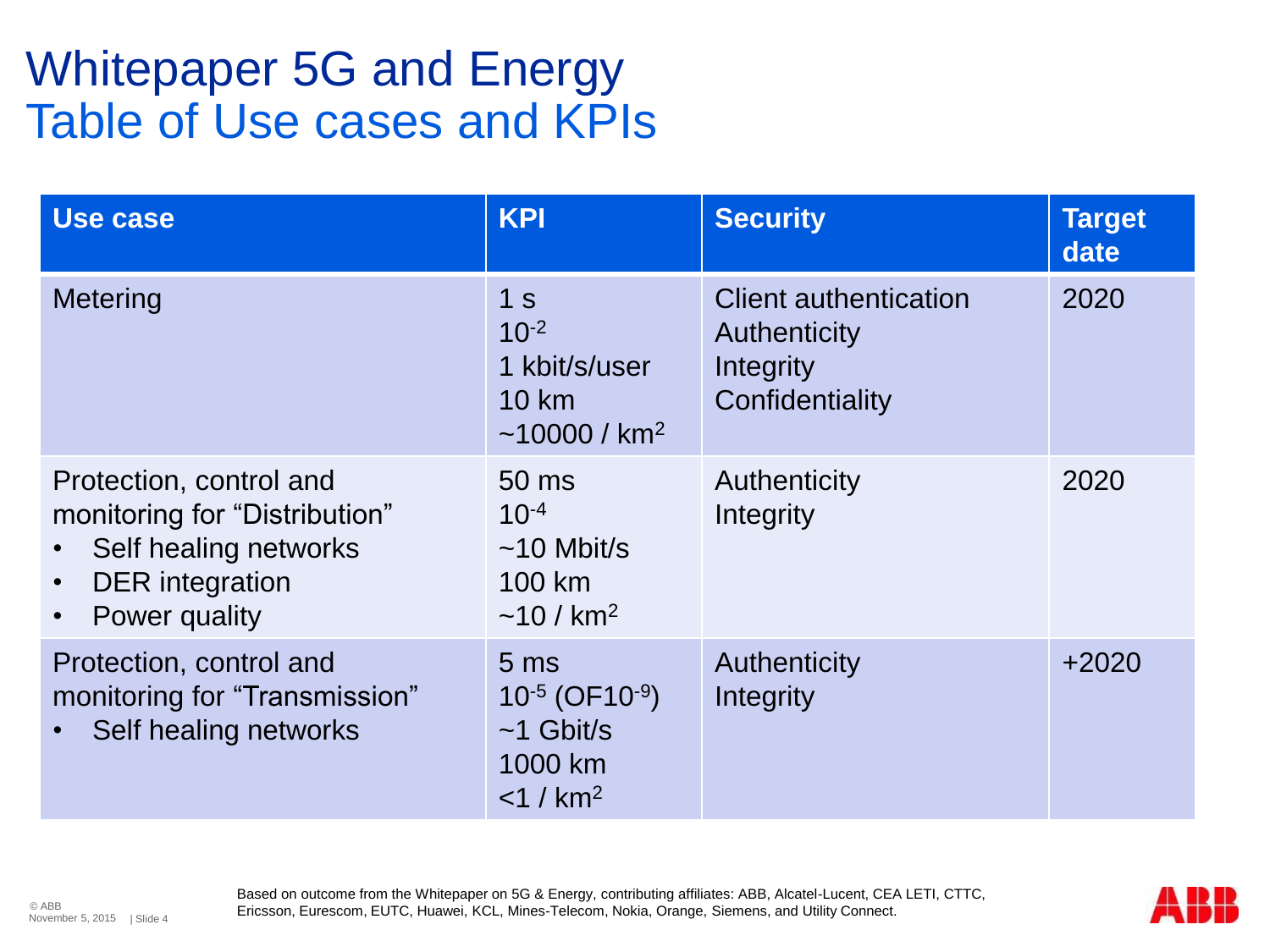#### Whitepaper 5G and Energy Table of Use cases and KPIs

| Use case                                                                                                                     | <b>KPI</b>                                                                                              | <b>Security</b>                                                              | <b>Target</b><br>date |
|------------------------------------------------------------------------------------------------------------------------------|---------------------------------------------------------------------------------------------------------|------------------------------------------------------------------------------|-----------------------|
| Metering                                                                                                                     | 1 <sub>s</sub><br>$10^{-2}$<br>1 kbit/s/user<br><b>10 km</b><br>$~10000 / km^2$                         | <b>Client authentication</b><br>Authenticity<br>Integrity<br>Confidentiality | 2020                  |
| Protection, control and<br>monitoring for "Distribution"<br>Self healing networks<br><b>DER</b> integration<br>Power quality | $50 \text{ ms}$<br>$10^{-4}$<br>$\sim$ 10 Mbit/s<br>100 km<br>$~10 / km^2$                              | Authenticity<br>Integrity                                                    | 2020                  |
| Protection, control and<br>monitoring for "Transmission"<br>Self healing networks                                            | 5 <sub>ms</sub><br>$10^{-5}$ (OF10 <sup>-9</sup> )<br>$~1$ Gbit/s<br>1000 km<br>$<$ 1 / km <sup>2</sup> | Authenticity<br>Integrity                                                    | $+2020$               |

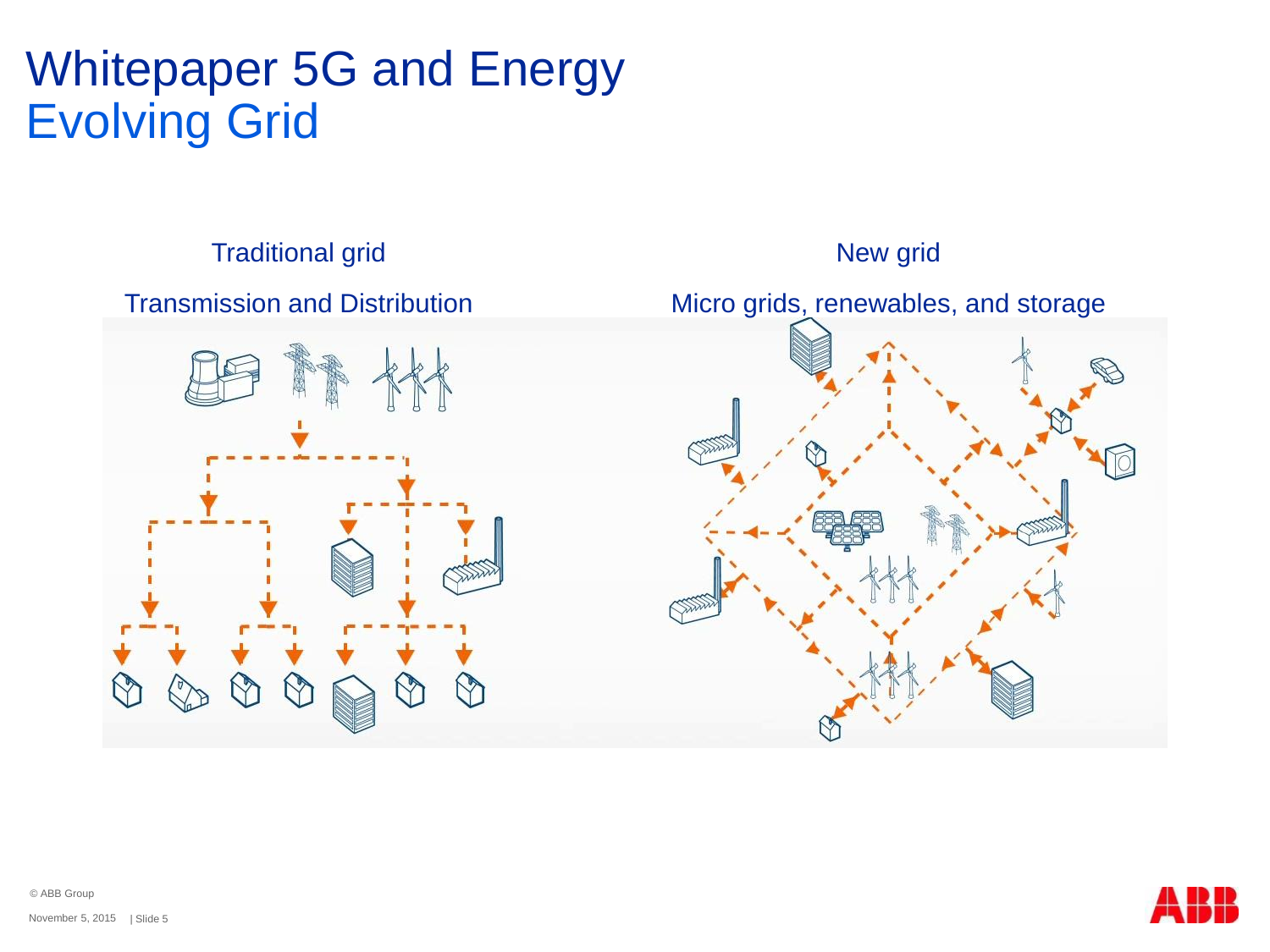### Whitepaper 5G and Energy Evolving Grid







© ABB Group